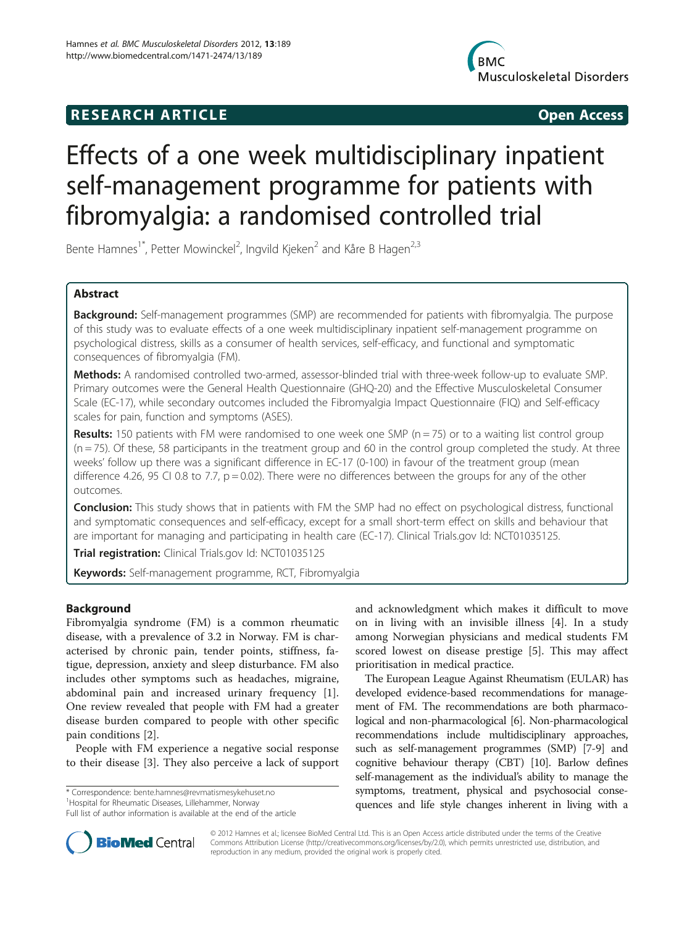## R E S EAR CH A R TIC L E Open Access



# Effects of a one week multidisciplinary inpatient self-management programme for patients with fibromyalgia: a randomised controlled trial

Bente Hamnes<sup>1\*</sup>, Petter Mowinckel<sup>2</sup>, Ingvild Kjeken<sup>2</sup> and Kåre B Hagen<sup>2,3</sup>

## Abstract

Background: Self-management programmes (SMP) are recommended for patients with fibromyalgia. The purpose of this study was to evaluate effects of a one week multidisciplinary inpatient self-management programme on psychological distress, skills as a consumer of health services, self-efficacy, and functional and symptomatic consequences of fibromyalgia (FM).

Methods: A randomised controlled two-armed, assessor-blinded trial with three-week follow-up to evaluate SMP. Primary outcomes were the General Health Questionnaire (GHQ-20) and the Effective Musculoskeletal Consumer Scale (EC-17), while secondary outcomes included the Fibromyalgia Impact Questionnaire (FIQ) and Self-efficacy scales for pain, function and symptoms (ASES).

**Results:** 150 patients with FM were randomised to one week one SMP ( $n = 75$ ) or to a waiting list control group  $(n = 75)$ . Of these, 58 participants in the treatment group and 60 in the control group completed the study. At three weeks' follow up there was a significant difference in EC-17 (0-100) in favour of the treatment group (mean difference 4.26, 95 CI 0.8 to 7.7,  $p = 0.02$ ). There were no differences between the groups for any of the other outcomes.

**Conclusion:** This study shows that in patients with FM the SMP had no effect on psychological distress, functional and symptomatic consequences and self-efficacy, except for a small short-term effect on skills and behaviour that are important for managing and participating in health care (EC-17). Clinical Trials.gov Id: NCT01035125.

Trial registration: Clinical Trials.gov Id: NCT01035125

Keywords: Self-management programme, RCT, Fibromyalgia

## Background

Fibromyalgia syndrome (FM) is a common rheumatic disease, with a prevalence of 3.2 in Norway. FM is characterised by chronic pain, tender points, stiffness, fatigue, depression, anxiety and sleep disturbance. FM also includes other symptoms such as headaches, migraine, abdominal pain and increased urinary frequency [\[1](#page-7-0)]. One review revealed that people with FM had a greater disease burden compared to people with other specific pain conditions [\[2\]](#page-7-0).

People with FM experience a negative social response to their disease [\[3](#page-7-0)]. They also perceive a lack of support

\* Correspondence: [bente.hamnes@revmatismesykehuset.no](mailto:bente.hamnes@revmatismesykehuset.no) <sup>1</sup>

<sup>1</sup> Hospital for Rheumatic Diseases, Lillehammer, Norway

Full list of author information is available at the end of the article

and acknowledgment which makes it difficult to move on in living with an invisible illness [[4\]](#page-7-0). In a study among Norwegian physicians and medical students FM scored lowest on disease prestige [\[5](#page-7-0)]. This may affect prioritisation in medical practice.

The European League Against Rheumatism (EULAR) has developed evidence-based recommendations for management of FM. The recommendations are both pharmacological and non-pharmacological [[6](#page-7-0)]. Non-pharmacological recommendations include multidisciplinary approaches, such as self-management programmes (SMP) [[7](#page-7-0)-[9](#page-7-0)] and cognitive behaviour therapy (CBT) [\[10](#page-7-0)]. Barlow defines self-management as the individual's ability to manage the symptoms, treatment, physical and psychosocial consequences and life style changes inherent in living with a



© 2012 Hamnes et al.; licensee BioMed Central Ltd. This is an Open Access article distributed under the terms of the Creative Commons Attribution License [\(http://creativecommons.org/licenses/by/2.0\)](http://creativecommons.org/licenses/by/2.0), which permits unrestricted use, distribution, and reproduction in any medium, provided the original work is properly cited.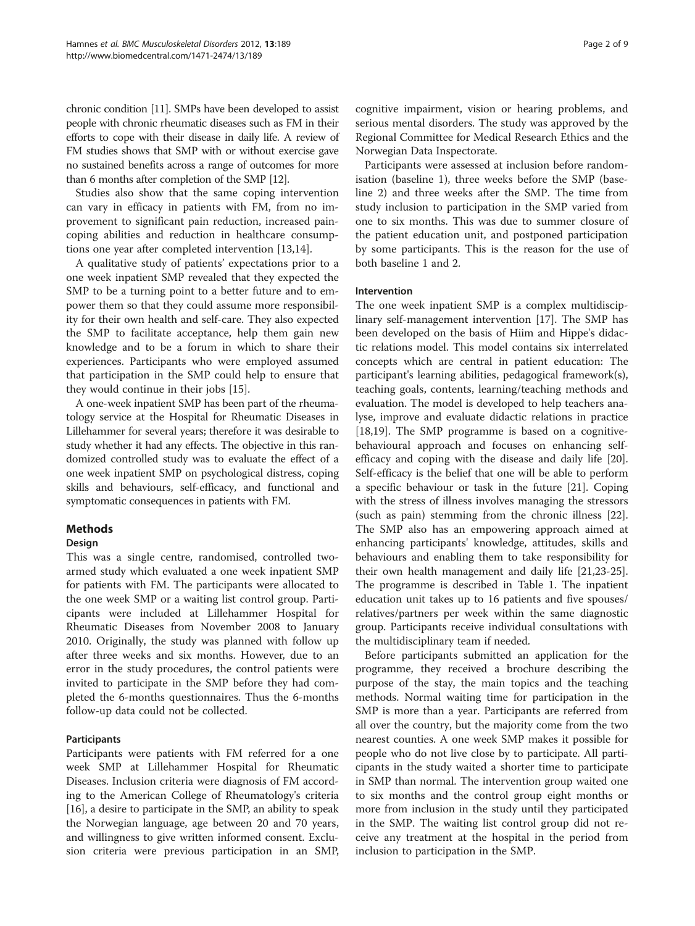chronic condition [\[11\]](#page-7-0). SMPs have been developed to assist people with chronic rheumatic diseases such as FM in their efforts to cope with their disease in daily life. A review of FM studies shows that SMP with or without exercise gave no sustained benefits across a range of outcomes for more than 6 months after completion of the SMP [[12](#page-7-0)].

Studies also show that the same coping intervention can vary in efficacy in patients with FM, from no improvement to significant pain reduction, increased paincoping abilities and reduction in healthcare consumptions one year after completed intervention [[13](#page-7-0),[14](#page-7-0)].

A qualitative study of patients' expectations prior to a one week inpatient SMP revealed that they expected the SMP to be a turning point to a better future and to empower them so that they could assume more responsibility for their own health and self-care. They also expected the SMP to facilitate acceptance, help them gain new knowledge and to be a forum in which to share their experiences. Participants who were employed assumed that participation in the SMP could help to ensure that they would continue in their jobs [\[15](#page-7-0)].

A one-week inpatient SMP has been part of the rheumatology service at the Hospital for Rheumatic Diseases in Lillehammer for several years; therefore it was desirable to study whether it had any effects. The objective in this randomized controlled study was to evaluate the effect of a one week inpatient SMP on psychological distress, coping skills and behaviours, self-efficacy, and functional and symptomatic consequences in patients with FM.

## **Methods**

## Design

This was a single centre, randomised, controlled twoarmed study which evaluated a one week inpatient SMP for patients with FM. The participants were allocated to the one week SMP or a waiting list control group. Participants were included at Lillehammer Hospital for Rheumatic Diseases from November 2008 to January 2010. Originally, the study was planned with follow up after three weeks and six months. However, due to an error in the study procedures, the control patients were invited to participate in the SMP before they had completed the 6-months questionnaires. Thus the 6-months follow-up data could not be collected.

## Participants

Participants were patients with FM referred for a one week SMP at Lillehammer Hospital for Rheumatic Diseases. Inclusion criteria were diagnosis of FM according to the American College of Rheumatology's criteria [[16\]](#page-7-0), a desire to participate in the SMP, an ability to speak the Norwegian language, age between 20 and 70 years, and willingness to give written informed consent. Exclusion criteria were previous participation in an SMP,

cognitive impairment, vision or hearing problems, and serious mental disorders. The study was approved by the Regional Committee for Medical Research Ethics and the Norwegian Data Inspectorate.

Participants were assessed at inclusion before randomisation (baseline 1), three weeks before the SMP (baseline 2) and three weeks after the SMP. The time from study inclusion to participation in the SMP varied from one to six months. This was due to summer closure of the patient education unit, and postponed participation by some participants. This is the reason for the use of both baseline 1 and 2.

## Intervention

The one week inpatient SMP is a complex multidisciplinary self-management intervention [\[17](#page-7-0)]. The SMP has been developed on the basis of Hiim and Hippe's didactic relations model. This model contains six interrelated concepts which are central in patient education: The participant's learning abilities, pedagogical framework(s), teaching goals, contents, learning/teaching methods and evaluation. The model is developed to help teachers analyse, improve and evaluate didactic relations in practice [[18,19\]](#page-7-0). The SMP programme is based on a cognitivebehavioural approach and focuses on enhancing selfefficacy and coping with the disease and daily life [\[20](#page-7-0)]. Self-efficacy is the belief that one will be able to perform a specific behaviour or task in the future [\[21](#page-7-0)]. Coping with the stress of illness involves managing the stressors (such as pain) stemming from the chronic illness [\[22](#page-7-0)]. The SMP also has an empowering approach aimed at enhancing participants' knowledge, attitudes, skills and behaviours and enabling them to take responsibility for their own health management and daily life [\[21,23-25](#page-7-0)]. The programme is described in Table [1](#page-2-0). The inpatient education unit takes up to 16 patients and five spouses/ relatives/partners per week within the same diagnostic group. Participants receive individual consultations with the multidisciplinary team if needed.

Before participants submitted an application for the programme, they received a brochure describing the purpose of the stay, the main topics and the teaching methods. Normal waiting time for participation in the SMP is more than a year. Participants are referred from all over the country, but the majority come from the two nearest counties. A one week SMP makes it possible for people who do not live close by to participate. All participants in the study waited a shorter time to participate in SMP than normal. The intervention group waited one to six months and the control group eight months or more from inclusion in the study until they participated in the SMP. The waiting list control group did not receive any treatment at the hospital in the period from inclusion to participation in the SMP.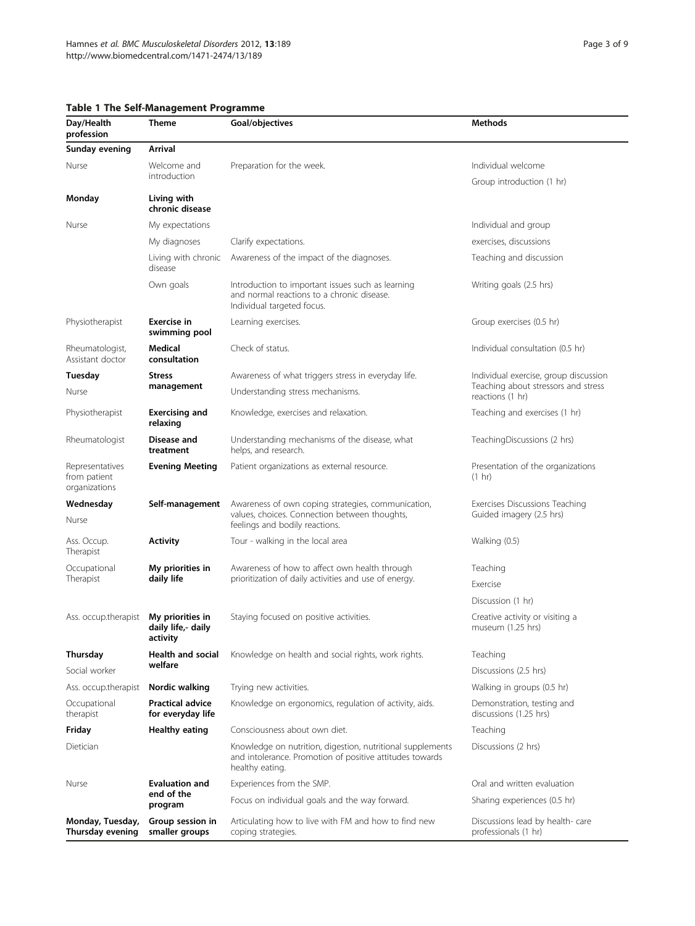## <span id="page-2-0"></span>Table 1 The Self-Management Programme<br>Day/Health Theme Goal/obje

| Day/Health<br>profession                         | <b>Theme</b>                                                                                                     | Goal/objectives                                                                                                                           | <b>Methods</b>                                                                                   |  |  |
|--------------------------------------------------|------------------------------------------------------------------------------------------------------------------|-------------------------------------------------------------------------------------------------------------------------------------------|--------------------------------------------------------------------------------------------------|--|--|
| Sunday evening                                   | Arrival                                                                                                          |                                                                                                                                           |                                                                                                  |  |  |
| Nurse                                            | Welcome and                                                                                                      | Preparation for the week.                                                                                                                 | Individual welcome                                                                               |  |  |
|                                                  | introduction                                                                                                     |                                                                                                                                           | Group introduction (1 hr)                                                                        |  |  |
| Monday                                           | Living with<br>chronic disease                                                                                   |                                                                                                                                           |                                                                                                  |  |  |
| Nurse                                            | My expectations                                                                                                  |                                                                                                                                           | Individual and group                                                                             |  |  |
|                                                  | My diagnoses                                                                                                     | Clarify expectations.                                                                                                                     | exercises, discussions                                                                           |  |  |
|                                                  | Living with chronic<br>disease                                                                                   | Awareness of the impact of the diagnoses.                                                                                                 | Teaching and discussion                                                                          |  |  |
|                                                  | Own goals                                                                                                        | Introduction to important issues such as learning<br>and normal reactions to a chronic disease.<br>Individual targeted focus.             | Writing goals (2.5 hrs)                                                                          |  |  |
| Physiotherapist                                  | Exercise in<br>swimming pool                                                                                     | Learning exercises.                                                                                                                       | Group exercises (0.5 hr)                                                                         |  |  |
| Rheumatologist,<br>Assistant doctor              | Medical<br>consultation                                                                                          | Check of status.                                                                                                                          | Individual consultation (0.5 hr)                                                                 |  |  |
| Tuesday                                          | <b>Stress</b>                                                                                                    | Awareness of what triggers stress in everyday life.                                                                                       | Individual exercise, group discussion<br>Teaching about stressors and stress<br>reactions (1 hr) |  |  |
| Nurse                                            | management                                                                                                       | Understanding stress mechanisms.                                                                                                          |                                                                                                  |  |  |
| Physiotherapist                                  | <b>Exercising and</b><br>relaxing                                                                                | Knowledge, exercises and relaxation.                                                                                                      | Teaching and exercises (1 hr)                                                                    |  |  |
| Rheumatologist                                   | Disease and<br>treatment                                                                                         | Understanding mechanisms of the disease, what<br>helps, and research.                                                                     | TeachingDiscussions (2 hrs)                                                                      |  |  |
| Representatives<br>from patient<br>organizations | <b>Evening Meeting</b>                                                                                           | Patient organizations as external resource.                                                                                               | Presentation of the organizations<br>$(1 \text{ hr})$                                            |  |  |
| Wednesday                                        | Self-management                                                                                                  | Awareness of own coping strategies, communication,                                                                                        | Exercises Discussions Teaching<br>Guided imagery (2.5 hrs)                                       |  |  |
| Nurse                                            |                                                                                                                  | values, choices. Connection between thoughts,<br>feelings and bodily reactions.                                                           |                                                                                                  |  |  |
| Ass. Occup.<br>Therapist                         | <b>Activity</b>                                                                                                  | Tour - walking in the local area                                                                                                          | Walking (0.5)                                                                                    |  |  |
| Occupational                                     | My priorities in                                                                                                 | Awareness of how to affect own health through                                                                                             | Teaching                                                                                         |  |  |
| Therapist                                        | daily life                                                                                                       | prioritization of daily activities and use of energy.                                                                                     | Exercise                                                                                         |  |  |
|                                                  |                                                                                                                  |                                                                                                                                           | Discussion (1 hr)                                                                                |  |  |
| Ass. occup.therapist                             | My priorities in<br>daily life,- daily<br>activity                                                               | Staying focused on positive activities.                                                                                                   | Creative activity or visiting a<br>museum (1.25 hrs)                                             |  |  |
| Thursday                                         | Health and social                                                                                                | Knowledge on health and social rights, work rights.                                                                                       | Teaching                                                                                         |  |  |
| Social worker                                    | welfare                                                                                                          |                                                                                                                                           | Discussions (2.5 hrs)                                                                            |  |  |
| Ass. occup.therapist                             | Nordic walking                                                                                                   | Trying new activities.                                                                                                                    | Walking in groups (0.5 hr)                                                                       |  |  |
| Occupational<br>therapist                        | <b>Practical advice</b><br>for everyday life                                                                     | Knowledge on ergonomics, regulation of activity, aids.                                                                                    | Demonstration, testing and<br>discussions (1.25 hrs)                                             |  |  |
| Friday                                           | Healthy eating                                                                                                   | Consciousness about own diet.                                                                                                             | Teaching                                                                                         |  |  |
| Dietician                                        |                                                                                                                  | Knowledge on nutrition, digestion, nutritional supplements<br>and intolerance. Promotion of positive attitudes towards<br>healthy eating. | Discussions (2 hrs)                                                                              |  |  |
| Nurse                                            | <b>Evaluation and</b>                                                                                            | Experiences from the SMP.                                                                                                                 | Oral and written evaluation                                                                      |  |  |
|                                                  | end of the<br>program                                                                                            | Focus on individual goals and the way forward.                                                                                            | Sharing experiences (0.5 hr)                                                                     |  |  |
| Monday, Tuesday,<br>Thursday evening             | Group session in<br>Articulating how to live with FM and how to find new<br>smaller groups<br>coping strategies. |                                                                                                                                           | Discussions lead by health- care<br>professionals (1 hr)                                         |  |  |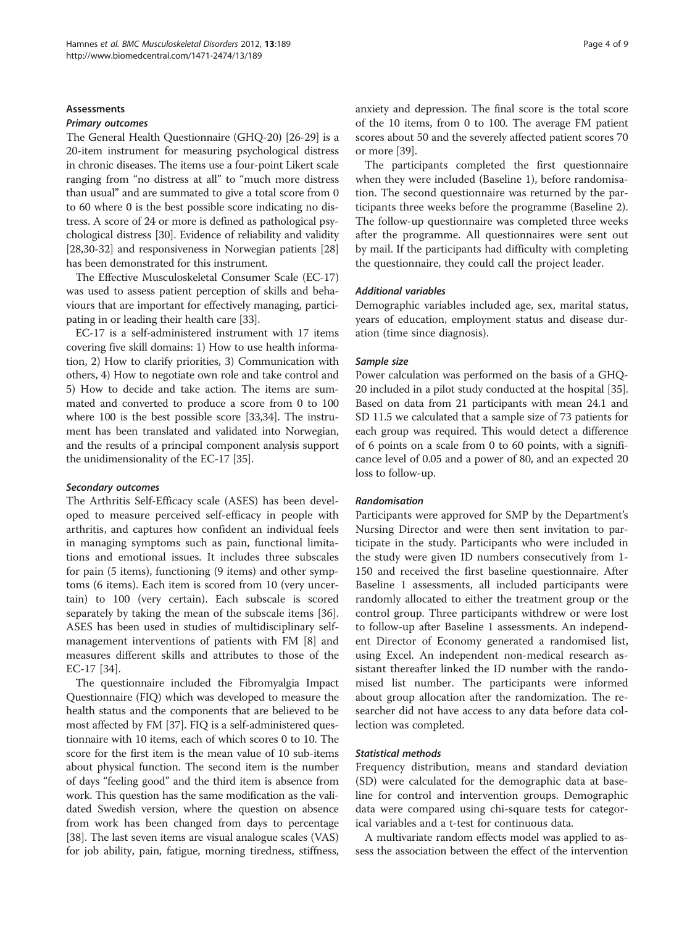### **A**ssessments

#### Primary outcomes

The General Health Questionnaire (GHQ-20) [[26-29\]](#page-7-0) is a 20-item instrument for measuring psychological distress in chronic diseases. The items use a four-point Likert scale ranging from "no distress at all" to "much more distress than usual" and are summated to give a total score from 0 to 60 where 0 is the best possible score indicating no distress. A score of 24 or more is defined as pathological psychological distress [\[30\]](#page-7-0). Evidence of reliability and validity [[28,30](#page-7-0)-[32](#page-7-0)] and responsiveness in Norwegian patients [[28](#page-7-0)] has been demonstrated for this instrument.

The Effective Musculoskeletal Consumer Scale (EC-17) was used to assess patient perception of skills and behaviours that are important for effectively managing, participating in or leading their health care [\[33\]](#page-7-0).

EC-17 is a self-administered instrument with 17 items covering five skill domains: 1) How to use health information, 2) How to clarify priorities, 3) Communication with others, 4) How to negotiate own role and take control and 5) How to decide and take action. The items are summated and converted to produce a score from 0 to 100 where 100 is the best possible score [\[33,34\]](#page-7-0). The instrument has been translated and validated into Norwegian, and the results of a principal component analysis support the unidimensionality of the EC-17 [[35](#page-7-0)].

#### Secondary outcomes

The Arthritis Self-Efficacy scale (ASES) has been developed to measure perceived self-efficacy in people with arthritis, and captures how confident an individual feels in managing symptoms such as pain, functional limitations and emotional issues. It includes three subscales for pain (5 items), functioning (9 items) and other symptoms (6 items). Each item is scored from 10 (very uncertain) to 100 (very certain). Each subscale is scored separately by taking the mean of the subscale items [\[36](#page-7-0)]. ASES has been used in studies of multidisciplinary selfmanagement interventions of patients with FM [\[8](#page-7-0)] and measures different skills and attributes to those of the EC-17 [\[34](#page-7-0)].

The questionnaire included the Fibromyalgia Impact Questionnaire (FIQ) which was developed to measure the health status and the components that are believed to be most affected by FM [\[37\]](#page-7-0). FIQ is a self-administered questionnaire with 10 items, each of which scores 0 to 10. The score for the first item is the mean value of 10 sub-items about physical function. The second item is the number of days "feeling good" and the third item is absence from work. This question has the same modification as the validated Swedish version, where the question on absence from work has been changed from days to percentage [[38](#page-7-0)]. The last seven items are visual analogue scales (VAS) for job ability, pain, fatigue, morning tiredness, stiffness, anxiety and depression. The final score is the total score of the 10 items, from 0 to 100. The average FM patient scores about 50 and the severely affected patient scores 70 or more [[39](#page-8-0)].

The participants completed the first questionnaire when they were included (Baseline 1), before randomisation. The second questionnaire was returned by the participants three weeks before the programme (Baseline 2). The follow-up questionnaire was completed three weeks after the programme. All questionnaires were sent out by mail. If the participants had difficulty with completing the questionnaire, they could call the project leader.

### Additional variables

Demographic variables included age, sex, marital status, years of education, employment status and disease duration (time since diagnosis).

### Sample size

Power calculation was performed on the basis of a GHQ-20 included in a pilot study conducted at the hospital [[35](#page-7-0)]. Based on data from 21 participants with mean 24.1 and SD 11.5 we calculated that a sample size of 73 patients for each group was required. This would detect a difference of 6 points on a scale from 0 to 60 points, with a significance level of 0.05 and a power of 80, and an expected 20 loss to follow-up.

#### Randomisation

Participants were approved for SMP by the Department's Nursing Director and were then sent invitation to participate in the study. Participants who were included in the study were given ID numbers consecutively from 1- 150 and received the first baseline questionnaire. After Baseline 1 assessments, all included participants were randomly allocated to either the treatment group or the control group. Three participants withdrew or were lost to follow-up after Baseline 1 assessments. An independent Director of Economy generated a randomised list, using Excel. An independent non-medical research assistant thereafter linked the ID number with the randomised list number. The participants were informed about group allocation after the randomization. The researcher did not have access to any data before data collection was completed.

## Statistical methods

Frequency distribution, means and standard deviation (SD) were calculated for the demographic data at baseline for control and intervention groups. Demographic data were compared using chi-square tests for categorical variables and a t-test for continuous data.

A multivariate random effects model was applied to assess the association between the effect of the intervention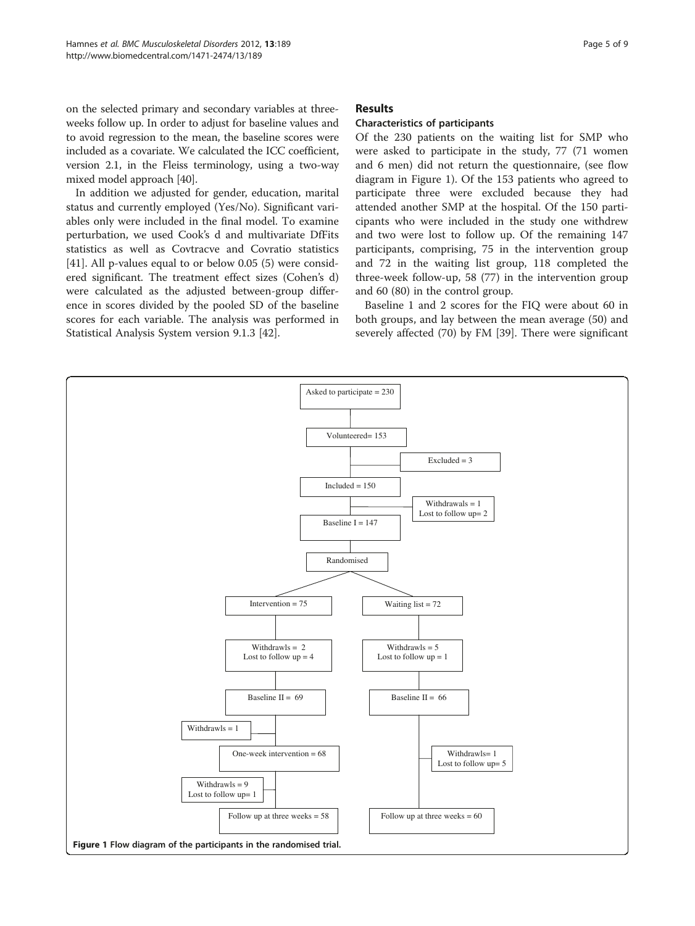on the selected primary and secondary variables at threeweeks follow up. In order to adjust for baseline values and to avoid regression to the mean, the baseline scores were included as a covariate. We calculated the ICC coefficient, version 2.1, in the Fleiss terminology, using a two-way mixed model approach [\[40](#page-8-0)].

In addition we adjusted for gender, education, marital status and currently employed (Yes/No). Significant variables only were included in the final model. To examine perturbation, we used Cook's d and multivariate DfFits statistics as well as Covtracve and Covratio statistics [[41\]](#page-8-0). All p-values equal to or below 0.05 (5) were considered significant. The treatment effect sizes (Cohen's d) were calculated as the adjusted between-group difference in scores divided by the pooled SD of the baseline scores for each variable. The analysis was performed in Statistical Analysis System version 9.1.3 [[42\]](#page-8-0).

## Results

## Characteristics of participants

Of the 230 patients on the waiting list for SMP who were asked to participate in the study, 77 (71 women and 6 men) did not return the questionnaire, (see flow diagram in Figure 1). Of the 153 patients who agreed to participate three were excluded because they had attended another SMP at the hospital. Of the 150 participants who were included in the study one withdrew and two were lost to follow up. Of the remaining 147 participants, comprising, 75 in the intervention group and 72 in the waiting list group, 118 completed the three-week follow-up, 58 (77) in the intervention group and 60 (80) in the control group.

Baseline 1 and 2 scores for the FIQ were about 60 in both groups, and lay between the mean average (50) and severely affected (70) by FM [\[39\]](#page-8-0). There were significant

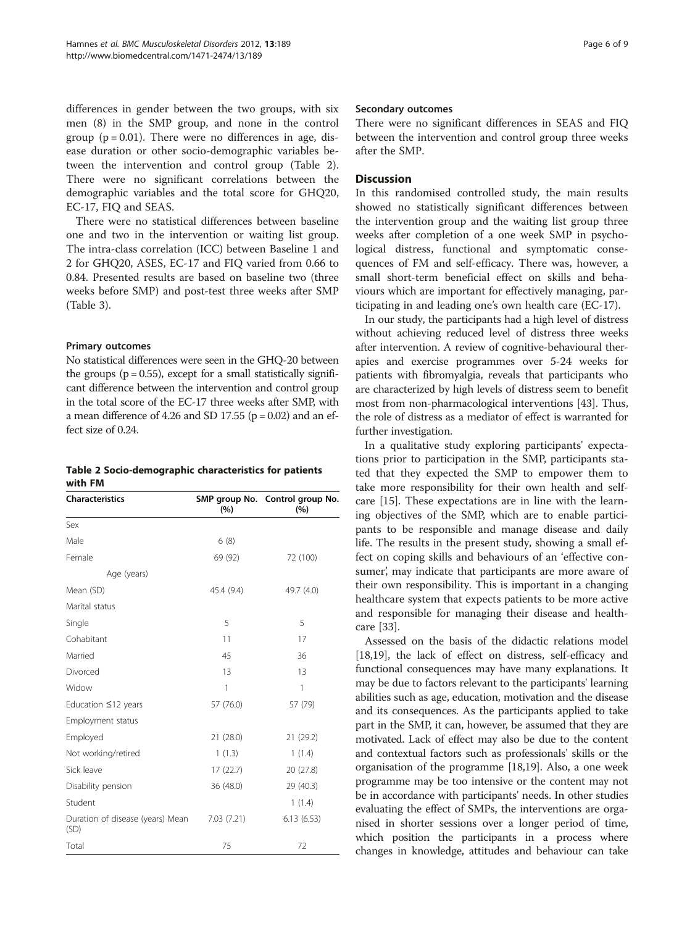differences in gender between the two groups, with six men (8) in the SMP group, and none in the control group  $(p = 0.01)$ . There were no differences in age, disease duration or other socio-demographic variables between the intervention and control group (Table 2). There were no significant correlations between the demographic variables and the total score for GHQ20, EC-17, FIQ and SEAS.

There were no statistical differences between baseline one and two in the intervention or waiting list group. The intra-class correlation (ICC) between Baseline 1 and 2 for GHQ20, ASES, EC-17 and FIQ varied from 0.66 to 0.84. Presented results are based on baseline two (three weeks before SMP) and post-test three weeks after SMP (Table [3\)](#page-6-0).

## Primary outcomes

No statistical differences were seen in the GHQ-20 between the groups ( $p = 0.55$ ), except for a small statistically significant difference between the intervention and control group in the total score of the EC-17 three weeks after SMP, with a mean difference of 4.26 and SD 17.55 ( $p = 0.02$ ) and an effect size of 0.24.

| Table 2 Socio-demographic characteristics for patients |  |
|--------------------------------------------------------|--|
| with FM                                                |  |

| <b>Characteristics</b>                   | (%)        | SMP group No. Control group No.<br>(%) |  |  |
|------------------------------------------|------------|----------------------------------------|--|--|
| Sex                                      |            |                                        |  |  |
| Male                                     | 6(8)       |                                        |  |  |
| Female                                   | 69 (92)    | 72 (100)                               |  |  |
| Age (years)                              |            |                                        |  |  |
| Mean (SD)                                | 45.4 (9.4) | 49.7 (4.0)                             |  |  |
| Marital status                           |            |                                        |  |  |
| Single                                   | 5          | 5                                      |  |  |
| Cohabitant                               | 11         | 17                                     |  |  |
| Married                                  | 45         | 36                                     |  |  |
| Divorced                                 | 13         | 13                                     |  |  |
| Widow                                    | 1          | 1                                      |  |  |
| Education $\leq$ 12 years                | 57 (76.0)  | 57 (79)                                |  |  |
| Employment status                        |            |                                        |  |  |
| Employed                                 | 21(28.0)   | 21 (29.2)                              |  |  |
| Not working/retired                      | 1(1.3)     | 1(1.4)                                 |  |  |
| Sick leave                               | 17(22.7)   | 20 (27.8)                              |  |  |
| Disability pension                       | 36 (48.0)  | 29 (40.3)                              |  |  |
| Student                                  |            | 1(1.4)                                 |  |  |
| Duration of disease (years) Mean<br>(SD) | 7.03(7.21) | 6.13(6.53)                             |  |  |
| Total                                    | 75         | 72                                     |  |  |

### Secondary outcomes

There were no significant differences in SEAS and FIQ between the intervention and control group three weeks after the SMP.

## **Discussion**

In this randomised controlled study, the main results showed no statistically significant differences between the intervention group and the waiting list group three weeks after completion of a one week SMP in psychological distress, functional and symptomatic consequences of FM and self-efficacy. There was, however, a small short-term beneficial effect on skills and behaviours which are important for effectively managing, participating in and leading one's own health care (EC-17).

In our study, the participants had a high level of distress without achieving reduced level of distress three weeks after intervention. A review of cognitive-behavioural therapies and exercise programmes over 5-24 weeks for patients with fibromyalgia, reveals that participants who are characterized by high levels of distress seem to benefit most from non-pharmacological interventions [[43](#page-8-0)]. Thus, the role of distress as a mediator of effect is warranted for further investigation.

In a qualitative study exploring participants' expectations prior to participation in the SMP, participants stated that they expected the SMP to empower them to take more responsibility for their own health and selfcare [\[15](#page-7-0)]. These expectations are in line with the learning objectives of the SMP, which are to enable participants to be responsible and manage disease and daily life. The results in the present study, showing a small effect on coping skills and behaviours of an 'effective consumer', may indicate that participants are more aware of their own responsibility. This is important in a changing healthcare system that expects patients to be more active and responsible for managing their disease and healthcare [[33\]](#page-7-0).

Assessed on the basis of the didactic relations model [[18](#page-7-0),[19](#page-7-0)], the lack of effect on distress, self-efficacy and functional consequences may have many explanations. It may be due to factors relevant to the participants' learning abilities such as age, education, motivation and the disease and its consequences. As the participants applied to take part in the SMP, it can, however, be assumed that they are motivated. Lack of effect may also be due to the content and contextual factors such as professionals' skills or the organisation of the programme [\[18,19\]](#page-7-0). Also, a one week programme may be too intensive or the content may not be in accordance with participants' needs. In other studies evaluating the effect of SMPs, the interventions are organised in shorter sessions over a longer period of time, which position the participants in a process where changes in knowledge, attitudes and behaviour can take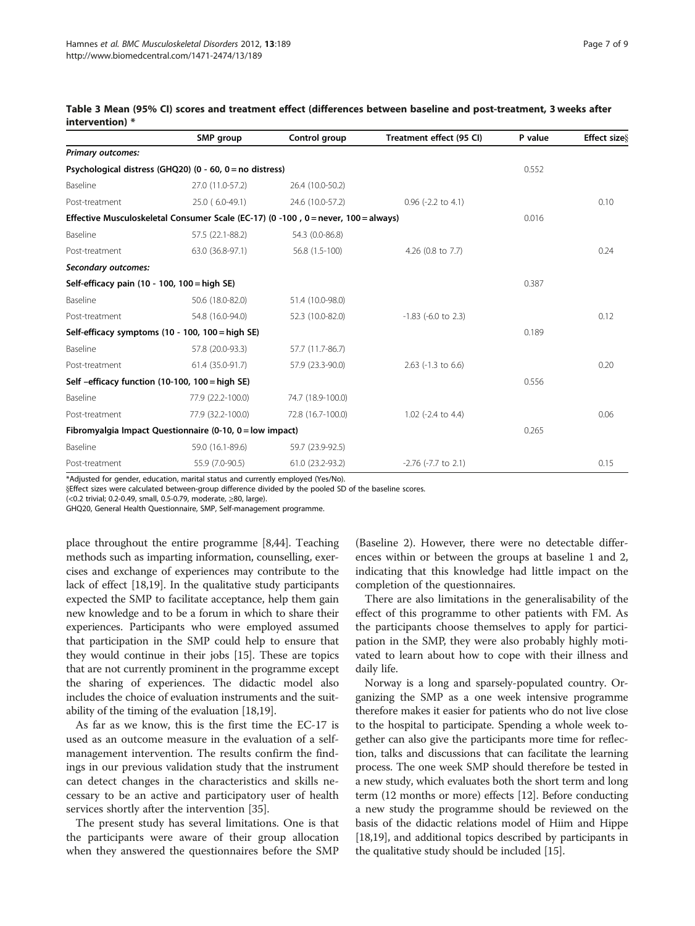|                                                                                    | SMP group         | Control group     | Treatment effect (95 CI) | P value | <b>Effect size</b> |
|------------------------------------------------------------------------------------|-------------------|-------------------|--------------------------|---------|--------------------|
| <b>Primary outcomes:</b>                                                           |                   |                   |                          |         |                    |
| Psychological distress (GHQ20) (0 - 60, 0 = no distress)                           | 0.552             |                   |                          |         |                    |
| Baseline                                                                           | 27.0 (11.0-57.2)  | 26.4 (10.0-50.2)  |                          |         |                    |
| Post-treatment                                                                     | 25.0 (6.0-49.1)   | 24.6 (10.0-57.2)  | $0.96$ (-2.2 to 4.1)     |         | 0.10               |
| Effective Musculoskeletal Consumer Scale (EC-17) (0 -100, 0 = never, 100 = always) | 0.016             |                   |                          |         |                    |
| Baseline                                                                           | 57.5 (22.1-88.2)  | 54.3 (0.0-86.8)   |                          |         |                    |
| Post-treatment                                                                     | 63.0 (36.8-97.1)  | 56.8 (1.5-100)    | 4.26 (0.8 to 7.7)        |         | 0.24               |
| Secondary outcomes:                                                                |                   |                   |                          |         |                    |
| Self-efficacy pain (10 - 100, 100 = high SE)                                       |                   |                   |                          | 0.387   |                    |
| Baseline                                                                           | 50.6 (18.0-82.0)  | 51.4 (10.0-98.0)  |                          |         |                    |
| Post-treatment                                                                     | 54.8 (16.0-94.0)  | 52.3 (10.0-82.0)  | $-1.83$ ( $-6.0$ to 2.3) |         | 0.12               |
| Self-efficacy symptoms (10 - 100, 100 = high SE)                                   |                   | 0.189             |                          |         |                    |
| Baseline                                                                           | 57.8 (20.0-93.3)  | 57.7 (11.7-86.7)  |                          |         |                    |
| Post-treatment                                                                     | 61.4 (35.0-91.7)  | 57.9 (23.3-90.0)  | $2.63$ (-1.3 to 6.6)     |         | 0.20               |
| Self-efficacy function (10-100, 100 = high SE)                                     |                   | 0.556             |                          |         |                    |
| Baseline                                                                           | 77.9 (22.2-100.0) | 74.7 (18.9-100.0) |                          |         |                    |
| Post-treatment                                                                     | 77.9 (32.2-100.0) | 72.8 (16.7-100.0) | $1.02$ (-2.4 to 4.4)     |         | 0.06               |
| Fibromyalgia Impact Questionnaire (0-10, 0 = low impact)                           | 0.265             |                   |                          |         |                    |
| Baseline                                                                           | 59.0 (16.1-89.6)  | 59.7 (23.9-92.5)  |                          |         |                    |
| Post-treatment                                                                     | 55.9 (7.0-90.5)   | 61.0 (23.2-93.2)  | $-2.76$ ( $-7.7$ to 2.1) |         | 0.15               |

<span id="page-6-0"></span>

|                 |  |  |  |  | Table 3 Mean (95% CI) scores and treatment effect (differences between baseline and post-treatment, 3 weeks after |  |
|-----------------|--|--|--|--|-------------------------------------------------------------------------------------------------------------------|--|
| intervention) * |  |  |  |  |                                                                                                                   |  |

\*Adjusted for gender, education, marital status and currently employed (Yes/No).

§Effect sizes were calculated between-group difference divided by the pooled SD of the baseline scores.

(<0.2 trivial; 0.2-0.49, small, 0.5-0.79, moderate, ≥80, large).

GHQ20, General Health Questionnaire, SMP, Self-management programme.

place throughout the entire programme [[8,](#page-7-0)[44](#page-8-0)]. Teaching methods such as imparting information, counselling, exercises and exchange of experiences may contribute to the lack of effect [[18,19\]](#page-7-0). In the qualitative study participants expected the SMP to facilitate acceptance, help them gain new knowledge and to be a forum in which to share their experiences. Participants who were employed assumed that participation in the SMP could help to ensure that they would continue in their jobs [[15](#page-7-0)]. These are topics that are not currently prominent in the programme except the sharing of experiences. The didactic model also includes the choice of evaluation instruments and the suitability of the timing of the evaluation [\[18,19\]](#page-7-0).

As far as we know, this is the first time the EC-17 is used as an outcome measure in the evaluation of a selfmanagement intervention. The results confirm the findings in our previous validation study that the instrument can detect changes in the characteristics and skills necessary to be an active and participatory user of health services shortly after the intervention [[35\]](#page-7-0).

The present study has several limitations. One is that the participants were aware of their group allocation when they answered the questionnaires before the SMP

(Baseline 2). However, there were no detectable differences within or between the groups at baseline 1 and 2, indicating that this knowledge had little impact on the completion of the questionnaires.

There are also limitations in the generalisability of the effect of this programme to other patients with FM. As the participants choose themselves to apply for participation in the SMP, they were also probably highly motivated to learn about how to cope with their illness and daily life.

Norway is a long and sparsely-populated country. Organizing the SMP as a one week intensive programme therefore makes it easier for patients who do not live close to the hospital to participate. Spending a whole week together can also give the participants more time for reflection, talks and discussions that can facilitate the learning process. The one week SMP should therefore be tested in a new study, which evaluates both the short term and long term (12 months or more) effects [[12](#page-7-0)]. Before conducting a new study the programme should be reviewed on the basis of the didactic relations model of Hiim and Hippe [[18](#page-7-0),[19](#page-7-0)], and additional topics described by participants in the qualitative study should be included [\[15](#page-7-0)].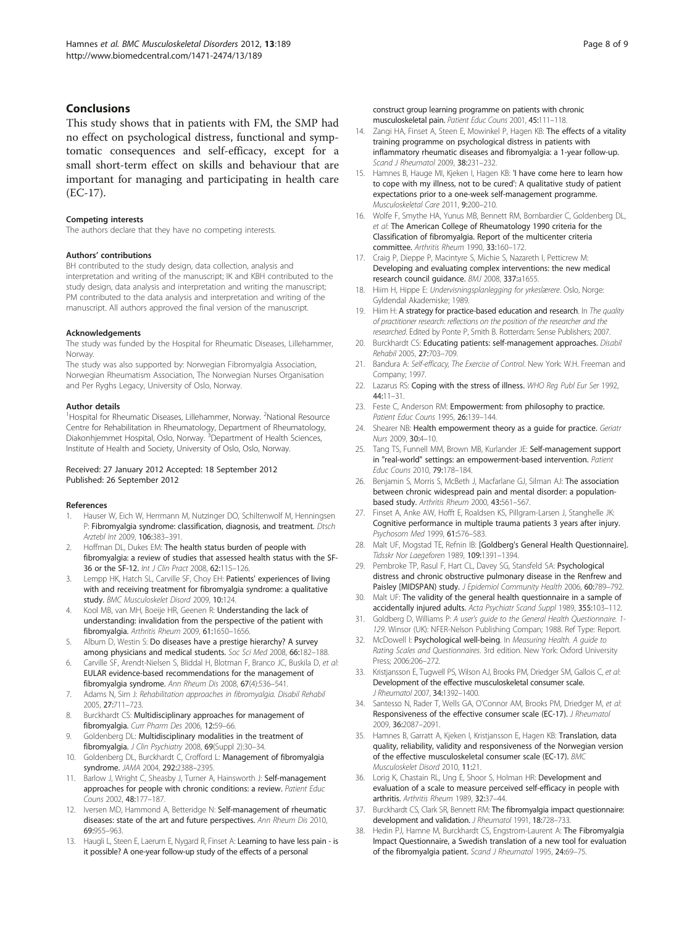## <span id="page-7-0"></span>Conclusions

This study shows that in patients with FM, the SMP had no effect on psychological distress, functional and symptomatic consequences and self-efficacy, except for a small short-term effect on skills and behaviour that are important for managing and participating in health care (EC-17).

#### Competing interests

The authors declare that they have no competing interests.

#### Authors' contributions

BH contributed to the study design, data collection, analysis and interpretation and writing of the manuscript; IK and KBH contributed to the study design, data analysis and interpretation and writing the manuscript; PM contributed to the data analysis and interpretation and writing of the manuscript. All authors approved the final version of the manuscript.

#### Acknowledgements

The study was funded by the Hospital for Rheumatic Diseases, Lillehammer, Norway.

The study was also supported by: Norwegian Fibromyalgia Association, Norwegian Rheumatism Association, The Norwegian Nurses Organisation and Per Ryghs Legacy, University of Oslo, Norway.

#### Author details

<sup>1</sup>Hospital for Rheumatic Diseases, Lillehammer, Norway. <sup>2</sup>National Resource Centre for Rehabilitation in Rheumatology, Department of Rheumatology, Diakonhjemmet Hospital, Oslo, Norway. <sup>3</sup>Department of Health Sciences, Institute of Health and Society, University of Oslo, Oslo, Norway.

#### Received: 27 January 2012 Accepted: 18 September 2012 Published: 26 September 2012

#### References

- 1. Hauser W, Eich W, Herrmann M, Nutzinger DO, Schiltenwolf M, Henningsen P: Fibromyalgia syndrome: classification, diagnosis, and treatment. Dtsch Arztebl Int 2009, 106:383–391.
- 2. Hoffman DL, Dukes EM: The health status burden of people with fibromyalgia: a review of studies that assessed health status with the SF-36 or the SF-12. Int J Clin Pract 2008, 62:115–126.
- Lempp HK, Hatch SL, Carville SF, Choy EH: Patients' experiences of living with and receiving treatment for fibromyalgia syndrome: a qualitative study. BMC Musculoskelet Disord 2009, 10:124.
- Kool MB, van MH, Boeije HR, Geenen R: Understanding the lack of understanding: invalidation from the perspective of the patient with fibromyalgia. Arthritis Rheum 2009, 61:1650–1656.
- 5. Album D, Westin S: Do diseases have a prestige hierarchy? A survey among physicians and medical students. Soc Sci Med 2008, 66:182–188.
- 6. Carville SF, Arendt-Nielsen S, Bliddal H, Blotman F, Branco JC, Buskila D, et al: EULAR evidence-based recommendations for the management of fibromyalgia syndrome. Ann Rheum Dis 2008, 67(4):536–541.
- 7. Adams N, Sim J: Rehabilitation approaches in fibromyalgia. Disabil Rehabil 2005, 27:711–723.
- 8. Burckhardt CS: Multidisciplinary approaches for management of fibromyalgia. Curr Pharm Des 2006, 12:59–66.
- 9. Goldenberg DL: Multidisciplinary modalities in the treatment of fibromyalgia. J Clin Psychiatry 2008, 69(Suppl 2):30-34.
- 10. Goldenberg DL, Burckhardt C, Crofford L: Management of fibromyalgia syndrome. JAMA 2004, 292:2388–2395.
- 11. Barlow J, Wright C, Sheasby J, Turner A, Hainsworth J: Self-management approaches for people with chronic conditions: a review. Patient Educ Couns 2002, 48:177–187.
- 12. Iversen MD, Hammond A, Betteridge N: Self-management of rheumatic diseases: state of the art and future perspectives. Ann Rheum Dis 2010, 69:955–963.
- 13. Haugli L, Steen E, Laerum E, Nygard R, Finset A: Learning to have less pain is it possible? A one-year follow-up study of the effects of a personal

construct group learning programme on patients with chronic musculoskeletal pain. Patient Educ Couns 2001, 45:111–118.

- 14. Zangi HA, Finset A, Steen E, Mowinkel P, Hagen KB: The effects of a vitality training programme on psychological distress in patients with inflammatory rheumatic diseases and fibromyalgia: a 1-year follow-up. Scand J Rheumatol 2009, 38:231–232.
- 15. Hamnes B, Hauge MI, Kjeken I, Hagen KB: 'I have come here to learn how to cope with my illness, not to be cured': A qualitative study of patient expectations prior to a one-week self-management programme. Musculoskeletal Care 2011, 9:200–210.
- 16. Wolfe F, Smythe HA, Yunus MB, Bennett RM, Bombardier C, Goldenberg DL, et al: The American College of Rheumatology 1990 criteria for the Classification of fibromyalgia. Report of the multicenter criteria committee. Arthritis Rheum 1990, 33:160–172.
- 17. Craig P, Dieppe P, Macintyre S, Michie S, Nazareth I, Petticrew M: Developing and evaluating complex interventions: the new medical research council guidance. BMJ 2008, 337:a1655.
- 18. Hiim H, Hippe E: Undervisningsplanlegging for yrkeslærere. Oslo, Norge: Gyldendal Akademiske; 1989.
- 19. Hiim H: A strategy for practice-based education and research. In The quality of practitioner research: reflections on the position of the researcher and the researched. Edited by Ponte P, Smith B. Rotterdam: Sense Publishers; 2007.
- 20. Burckhardt CS: Educating patients: self-management approaches. Disabil Rehabil 2005, 27:703–709.
- 21. Bandura A: Self-efficacy, The Exercise of Control. New York: W.H. Freeman and Company; 1997.
- 22. Lazarus RS: Coping with the stress of illness. WHO Reg Publ Eur Ser 1992, 44:11–31.
- 23. Feste C, Anderson RM: Empowerment: from philosophy to practice. Patient Educ Couns 1995, 26:139–144.
- 24. Shearer NB: Health empowerment theory as a guide for practice. Geriatr Nurs 2009, 30:4–10.
- 25. Tang TS, Funnell MM, Brown MB, Kurlander JE: Self-management support in "real-world" settings: an empowerment-based intervention. Patient Educ Couns 2010, 79:178–184.
- 26. Benjamin S, Morris S, McBeth J, Macfarlane GJ, Silman AJ: The association between chronic widespread pain and mental disorder: a populationbased study. Arthritis Rheum 2000, 43:561–567.
- 27. Finset A, Anke AW, Hofft E, Roaldsen KS, Pillgram-Larsen J, Stanghelle JK: Cognitive performance in multiple trauma patients 3 years after injury. Psychosom Med 1999, 61:576–583.
- 28. Malt UF, Mogstad TE, Refnin IB: [Goldberg's General Health Questionnaire]. Tidsskr Nor Laegeforen 1989, 109:1391–1394.
- 29. Pembroke TP, Rasul F, Hart CL, Davey SG, Stansfeld SA: Psychological distress and chronic obstructive pulmonary disease in the Renfrew and Paisley [MIDSPAN) study. J Epidemiol Community Health 2006, 60:789-792.
- 30. Malt UF: The validity of the general health questionnaire in a sample of accidentally injured adults. Acta Psychiatr Scand Suppl 1989, 355:103–112.
- 31. Goldberg D, Williams P: A user's guide to the General Health Questionnaire. 1- 129. Winsor (UK): NFER-Nelson Publishing Compan; 1988. Ref Type: Report.
- 32. McDowell I: Psychological well-being. In Measuring Health. A guide to Rating Scales and Questionnaires. 3rd edition. New York: Oxford University Press; 2006:206–272.
- 33. Kristjansson E, Tugwell PS, Wilson AJ, Brooks PM, Driedger SM, Gallois C, et al: Development of the effective musculoskeletal consumer scale. J Rheumatol 2007, 34:1392–1400.
- Santesso N, Rader T, Wells GA, O'Connor AM, Brooks PM, Driedger M, et al: Responsiveness of the effective consumer scale (EC-17). J Rheumatol 2009, 36:2087–2091.
- 35. Hamnes B, Garratt A, Kjeken I, Kristjansson E, Hagen KB: Translation, data quality, reliability, validity and responsiveness of the Norwegian version of the effective musculoskeletal consumer scale (EC-17). BMC Musculoskelet Disord 2010, 11:21.
- 36. Lorig K, Chastain RL, Ung E, Shoor S, Holman HR: Development and evaluation of a scale to measure perceived self-efficacy in people with arthritis. Arthritis Rheum 1989, 32:37–44.
- 37. Burckhardt CS, Clark SR, Bennett RM: The fibromyalgia impact questionnaire: development and validation. J Rheumatol 1991, 18:728-733.
- 38. Hedin PJ, Hamne M, Burckhardt CS, Engstrom-Laurent A: The Fibromyalgia Impact Questionnaire, a Swedish translation of a new tool for evaluation of the fibromyalgia patient. Scand J Rheumatol 1995, 24:69-75.